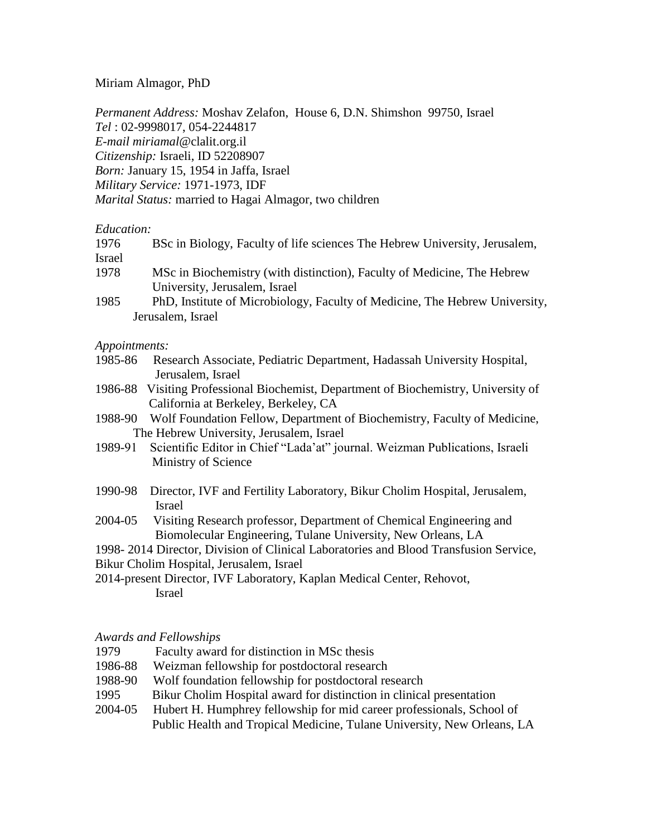# Miriam Almagor, PhD

*Permanent Address:* Moshav Zelafon, House 6, D.N. Shimshon 99750, Israel *Tel* : 02-9998017, 054-2244817 *E-mail miriamal*@clalit.org.il *Citizenship:* Israeli, ID 52208907 *Born:* January 15, 1954 in Jaffa, Israel *Military Service:* 1971-1973, IDF *Marital Status:* married to Hagai Almagor, two children

### *Education:*

1976 BSc in Biology, Faculty of life sciences The Hebrew University, Jerusalem, Israel

- 1978 MSc in Biochemistry (with distinction), Faculty of Medicine, The Hebrew University, Jerusalem, Israel
- 1985 PhD, Institute of Microbiology, Faculty of Medicine, The Hebrew University, Jerusalem, Israel

#### *Appointments:*

- 1985-86 Research Associate, Pediatric Department, Hadassah University Hospital, Jerusalem, Israel
- 1986-88 Visiting Professional Biochemist, Department of Biochemistry, University of California at Berkeley, Berkeley, CA
- 1988-90 Wolf Foundation Fellow, Department of Biochemistry, Faculty of Medicine, The Hebrew University, Jerusalem, Israel
- 1989-91 Scientific Editor in Chief "Lada'at" journal. Weizman Publications, Israeli Ministry of Science
- 1990-98 Director, IVF and Fertility Laboratory, Bikur Cholim Hospital, Jerusalem, Israel
- 2004-05 Visiting Research professor, Department of Chemical Engineering and Biomolecular Engineering, Tulane University, New Orleans, LA

1998- 2014 Director, Division of Clinical Laboratories and Blood Transfusion Service, Bikur Cholim Hospital, Jerusalem, Israel

2014-present Director, IVF Laboratory, Kaplan Medical Center, Rehovot, Israel

#### *Awards and Fellowships*

- 1979 Faculty award for distinction in MSc thesis
- 1986-88 Weizman fellowship for postdoctoral research
- 1988-90 Wolf foundation fellowship for postdoctoral research
- 1995 Bikur Cholim Hospital award for distinction in clinical presentation
- 2004-05 Hubert H. Humphrey fellowship for mid career professionals, School of Public Health and Tropical Medicine, Tulane University, New Orleans, LA